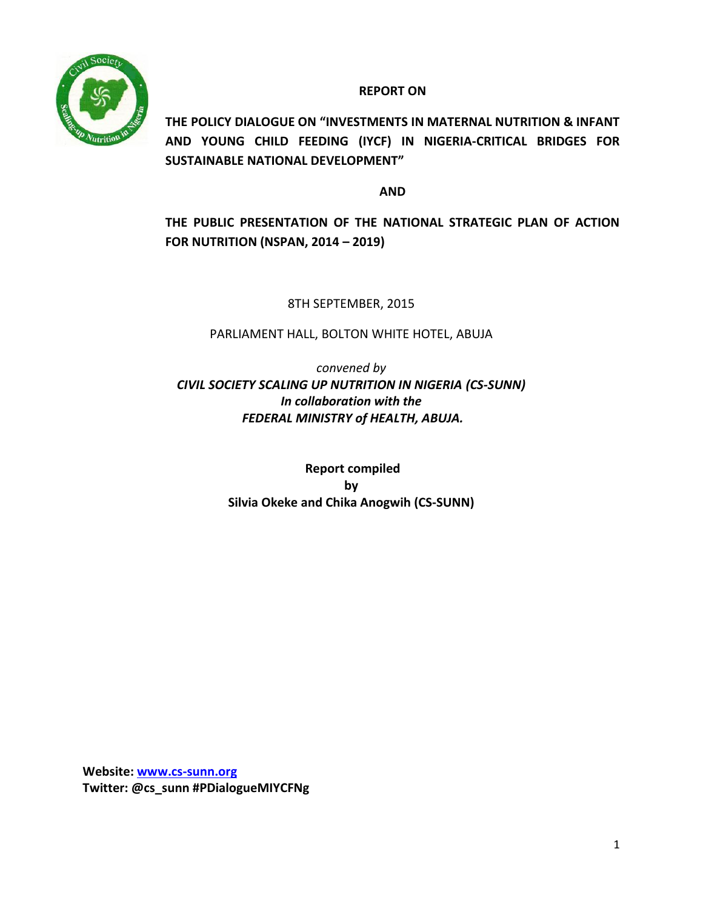

**REPORT ON**

**THE POLICY DIALOGUE ON "INVESTMENTS IN MATERNAL NUTRITION & INFANT AND YOUNG CHILD FEEDING (IYCF) IN NIGERIA-CRITICAL BRIDGES FOR SUSTAINABLE NATIONAL DEVELOPMENT"** 

**AND**

**THE PUBLIC PRESENTATION OF THE NATIONAL STRATEGIC PLAN OF ACTION FOR NUTRITION (NSPAN, 2014 – 2019)**

8TH SEPTEMBER, 2015

PARLIAMENT HALL, BOLTON WHITE HOTEL, ABUJA

*convened by CIVIL SOCIETY SCALING UP NUTRITION IN NIGERIA (CS-SUNN) In collaboration with the FEDERAL MINISTRY of HEALTH, ABUJA.*

> **Report compiled by Silvia Okeke and Chika Anogwih (CS-SUNN)**

**Website: [www.cs-sunn.org](http://www.cs-sunn.org/) Twitter: @cs\_sunn #PDialogueMIYCFNg**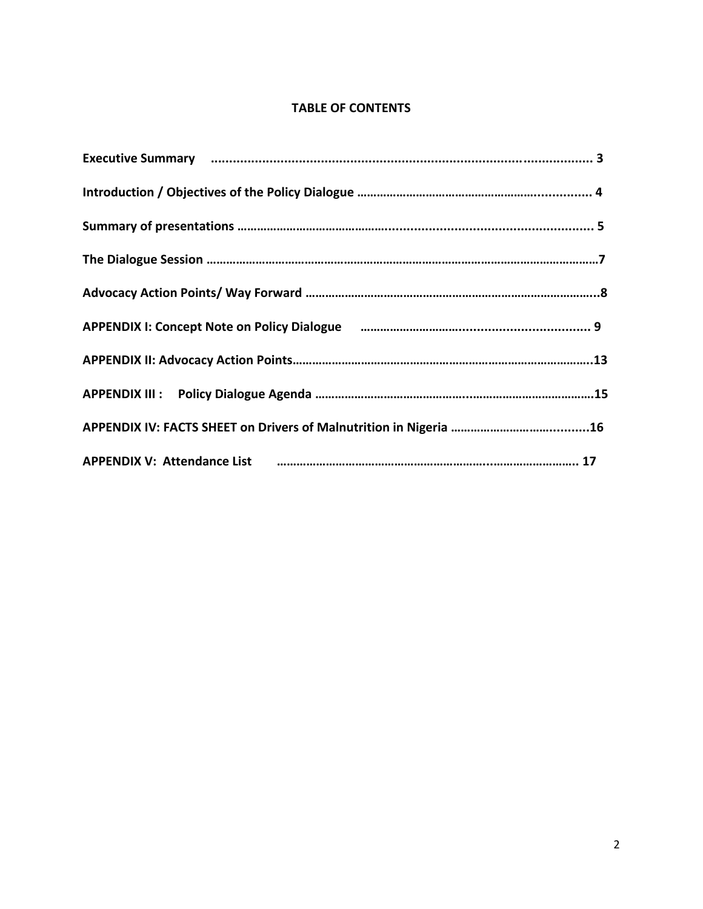#### **TABLE OF CONTENTS**

|  | Executive Summary manufacture and control manufacture and control manufacture and control manufacture and control of |
|--|----------------------------------------------------------------------------------------------------------------------|
|  |                                                                                                                      |
|  |                                                                                                                      |
|  |                                                                                                                      |
|  |                                                                                                                      |
|  | APPENDIX I: Concept Note on Policy Dialogue (2000) Manuscrittism and the SPPENDIX I: Concept Note on Policy Dialogue |
|  |                                                                                                                      |
|  |                                                                                                                      |
|  |                                                                                                                      |
|  | APPENDIX V: Attendance List (2000) continuum control and the USA control and the continuum control and the CPP       |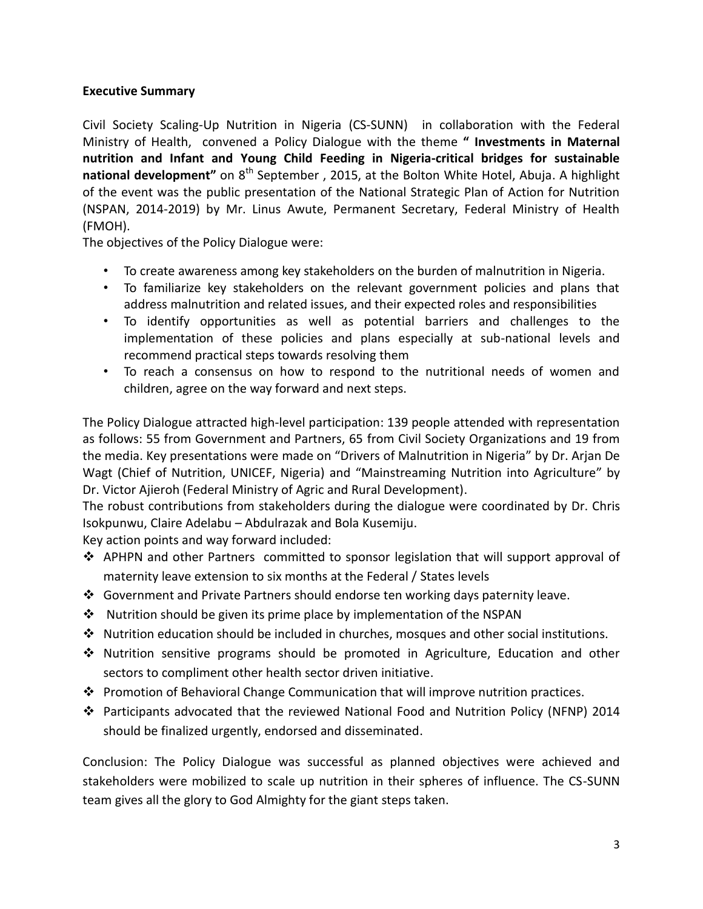## **Executive Summary**

Civil Society Scaling-Up Nutrition in Nigeria (CS-SUNN) in collaboration with the Federal Ministry of Health, convened a Policy Dialogue with the theme **" Investments in Maternal nutrition and Infant and Young Child Feeding in Nigeria-critical bridges for sustainable national development<sup>"</sup> on 8<sup>th</sup> September, 2015, at the Bolton White Hotel, Abuja. A highlight** of the event was the public presentation of the National Strategic Plan of Action for Nutrition (NSPAN, 2014-2019) by Mr. Linus Awute, Permanent Secretary, Federal Ministry of Health (FMOH).

The objectives of the Policy Dialogue were:

- To create awareness among key stakeholders on the burden of malnutrition in Nigeria.
- To familiarize key stakeholders on the relevant government policies and plans that address malnutrition and related issues, and their expected roles and responsibilities
- To identify opportunities as well as potential barriers and challenges to the implementation of these policies and plans especially at sub-national levels and recommend practical steps towards resolving them
- To reach a consensus on how to respond to the nutritional needs of women and children, agree on the way forward and next steps.

The Policy Dialogue attracted high-level participation: 139 people attended with representation as follows: 55 from Government and Partners, 65 from Civil Society Organizations and 19 from the media. Key presentations were made on "Drivers of Malnutrition in Nigeria" by Dr. Arjan De Wagt (Chief of Nutrition, UNICEF, Nigeria) and "Mainstreaming Nutrition into Agriculture" by Dr. Victor Ajieroh (Federal Ministry of Agric and Rural Development).

The robust contributions from stakeholders during the dialogue were coordinated by Dr. Chris Isokpunwu, Claire Adelabu – Abdulrazak and Bola Kusemiju.

Key action points and way forward included:

- $\triangle$  APHPN and other Partners committed to sponsor legislation that will support approval of maternity leave extension to six months at the Federal / States levels
- Government and Private Partners should endorse ten working days paternity leave.
- $\cdot \cdot$  Nutrition should be given its prime place by implementation of the NSPAN
- $\cdot \cdot$  Nutrition education should be included in churches, mosques and other social institutions.
- Nutrition sensitive programs should be promoted in Agriculture, Education and other sectors to compliment other health sector driven initiative.
- Promotion of Behavioral Change Communication that will improve nutrition practices.
- Participants advocated that the reviewed National Food and Nutrition Policy (NFNP) 2014 should be finalized urgently, endorsed and disseminated.

Conclusion: The Policy Dialogue was successful as planned objectives were achieved and stakeholders were mobilized to scale up nutrition in their spheres of influence. The CS-SUNN team gives all the glory to God Almighty for the giant steps taken.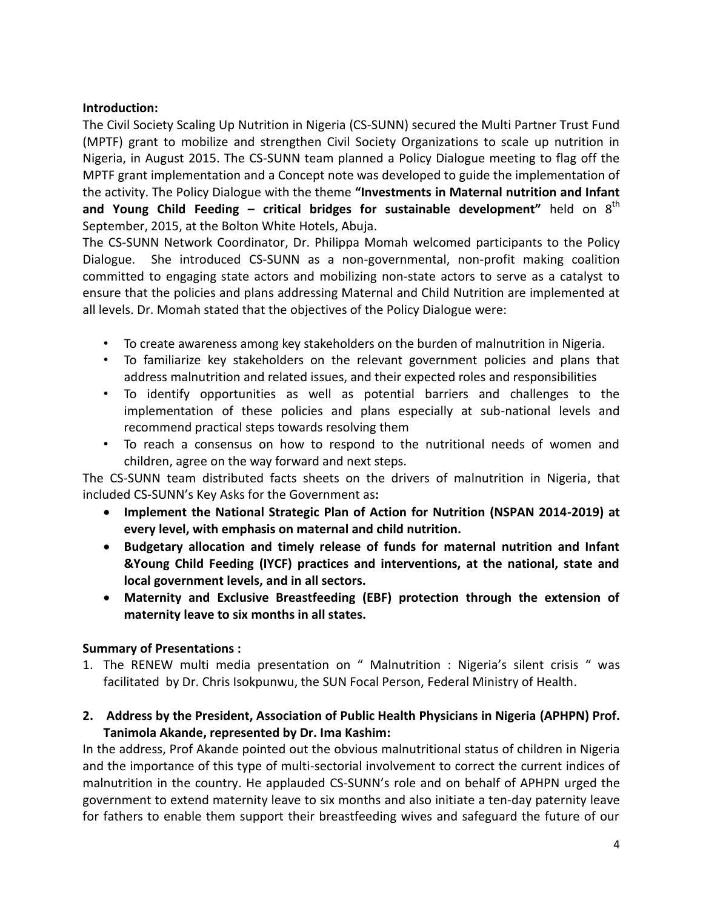#### **Introduction:**

The Civil Society Scaling Up Nutrition in Nigeria (CS-SUNN) secured the Multi Partner Trust Fund (MPTF) grant to mobilize and strengthen Civil Society Organizations to scale up nutrition in Nigeria, in August 2015. The CS-SUNN team planned a Policy Dialogue meeting to flag off the MPTF grant implementation and a Concept note was developed to guide the implementation of the activity. The Policy Dialogue with the theme **"Investments in Maternal nutrition and Infant and Young Child Feeding – critical bridges for sustainable development"** held on 8<sup>th</sup> September, 2015, at the Bolton White Hotels, Abuja.

The CS-SUNN Network Coordinator, Dr. Philippa Momah welcomed participants to the Policy Dialogue. She introduced CS-SUNN as a non-governmental, non-profit making coalition committed to engaging state actors and mobilizing non-state actors to serve as a catalyst to ensure that the policies and plans addressing Maternal and Child Nutrition are implemented at all levels. Dr. Momah stated that the objectives of the Policy Dialogue were:

- To create awareness among key stakeholders on the burden of malnutrition in Nigeria.
- To familiarize key stakeholders on the relevant government policies and plans that address malnutrition and related issues, and their expected roles and responsibilities
- To identify opportunities as well as potential barriers and challenges to the implementation of these policies and plans especially at sub-national levels and recommend practical steps towards resolving them
- To reach a consensus on how to respond to the nutritional needs of women and children, agree on the way forward and next steps.

The CS-SUNN team distributed facts sheets on the drivers of malnutrition in Nigeria, that included CS-SUNN's Key Asks for the Government as**:**

- **Implement the National Strategic Plan of Action for Nutrition (NSPAN 2014-2019) at every level, with emphasis on maternal and child nutrition.**
- **Budgetary allocation and timely release of funds for maternal nutrition and Infant &Young Child Feeding (IYCF) practices and interventions, at the national, state and local government levels, and in all sectors.**
- **Maternity and Exclusive Breastfeeding (EBF) protection through the extension of maternity leave to six months in all states.**

## **Summary of Presentations :**

- 1. The RENEW multi media presentation on " Malnutrition : Nigeria's silent crisis " was facilitated by Dr. Chris Isokpunwu, the SUN Focal Person, Federal Ministry of Health.
- **2. Address by the President, Association of Public Health Physicians in Nigeria (APHPN) Prof. Tanimola Akande, represented by Dr. Ima Kashim:**

In the address, Prof Akande pointed out the obvious malnutritional status of children in Nigeria and the importance of this type of multi-sectorial involvement to correct the current indices of malnutrition in the country. He applauded CS-SUNN's role and on behalf of APHPN urged the government to extend maternity leave to six months and also initiate a ten-day paternity leave for fathers to enable them support their breastfeeding wives and safeguard the future of our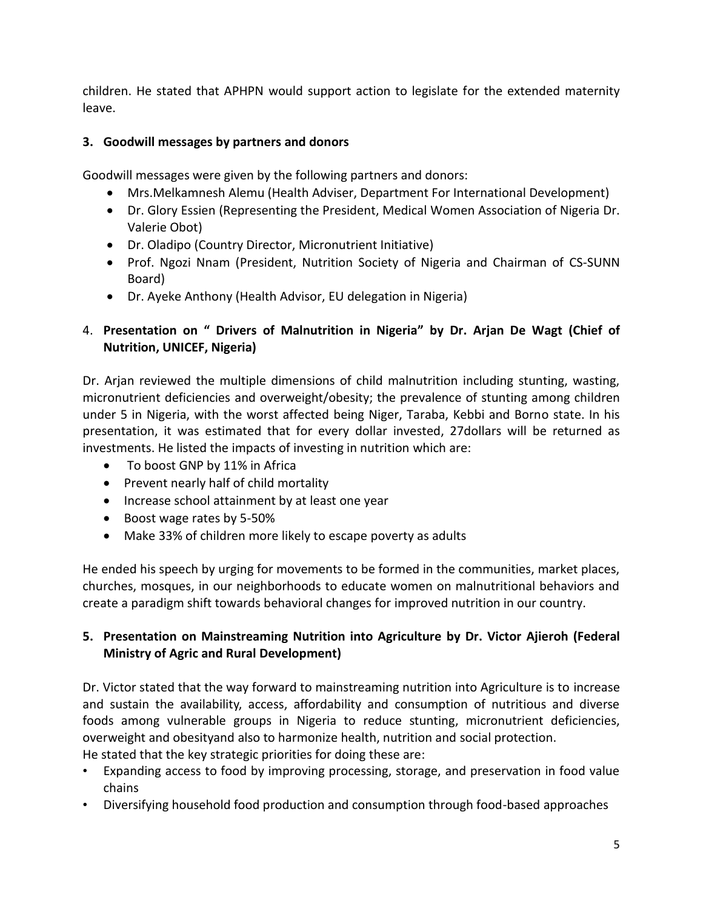children. He stated that APHPN would support action to legislate for the extended maternity leave.

## **3. Goodwill messages by partners and donors**

Goodwill messages were given by the following partners and donors:

- Mrs.Melkamnesh Alemu (Health Adviser, Department For International Development)
- Dr. Glory Essien (Representing the President, Medical Women Association of Nigeria Dr. Valerie Obot)
- Dr. Oladipo (Country Director, Micronutrient Initiative)
- Prof. Ngozi Nnam (President, Nutrition Society of Nigeria and Chairman of CS-SUNN Board)
- Dr. Ayeke Anthony (Health Advisor, EU delegation in Nigeria)

## 4. **Presentation on " Drivers of Malnutrition in Nigeria" by Dr. Arjan De Wagt (Chief of Nutrition, UNICEF, Nigeria)**

Dr. Arjan reviewed the multiple dimensions of child malnutrition including stunting, wasting, micronutrient deficiencies and overweight/obesity; the prevalence of stunting among children under 5 in Nigeria, with the worst affected being Niger, Taraba, Kebbi and Borno state. In his presentation, it was estimated that for every dollar invested, 27dollars will be returned as investments. He listed the impacts of investing in nutrition which are:

- To boost GNP by 11% in Africa
- Prevent nearly half of child mortality
- Increase school attainment by at least one year
- Boost wage rates by 5-50%
- Make 33% of children more likely to escape poverty as adults

He ended his speech by urging for movements to be formed in the communities, market places, churches, mosques, in our neighborhoods to educate women on malnutritional behaviors and create a paradigm shift towards behavioral changes for improved nutrition in our country.

## **5. Presentation on Mainstreaming Nutrition into Agriculture by Dr. Victor Ajieroh (Federal Ministry of Agric and Rural Development)**

Dr. Victor stated that the way forward to mainstreaming nutrition into Agriculture is to increase and sustain the availability, access, affordability and consumption of nutritious and diverse foods among vulnerable groups in Nigeria to reduce stunting, micronutrient deficiencies, overweight and obesityand also to harmonize health, nutrition and social protection. He stated that the key strategic priorities for doing these are:

- Expanding access to food by improving processing, storage, and preservation in food value chains
- Diversifying household food production and consumption through food-based approaches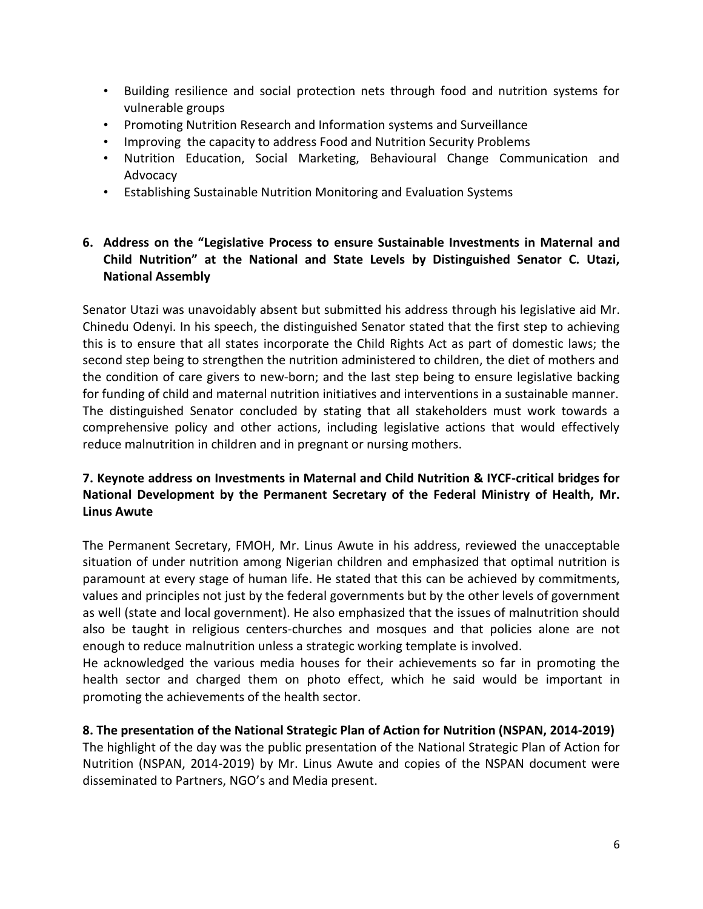- Building resilience and social protection nets through food and nutrition systems for vulnerable groups
- Promoting Nutrition Research and Information systems and Surveillance
- Improving the capacity to address Food and Nutrition Security Problems
- Nutrition Education, Social Marketing, Behavioural Change Communication and Advocacy
- Establishing Sustainable Nutrition Monitoring and Evaluation Systems

## **6. Address on the "Legislative Process to ensure Sustainable Investments in Maternal and Child Nutrition" at the National and State Levels by Distinguished Senator C. Utazi, National Assembly**

Senator Utazi was unavoidably absent but submitted his address through his legislative aid Mr. Chinedu Odenyi. In his speech, the distinguished Senator stated that the first step to achieving this is to ensure that all states incorporate the Child Rights Act as part of domestic laws; the second step being to strengthen the nutrition administered to children, the diet of mothers and the condition of care givers to new-born; and the last step being to ensure legislative backing for funding of child and maternal nutrition initiatives and interventions in a sustainable manner. The distinguished Senator concluded by stating that all stakeholders must work towards a comprehensive policy and other actions, including legislative actions that would effectively reduce malnutrition in children and in pregnant or nursing mothers.

## **7. Keynote address on Investments in Maternal and Child Nutrition & IYCF-critical bridges for National Development by the Permanent Secretary of the Federal Ministry of Health, Mr. Linus Awute**

The Permanent Secretary, FMOH, Mr. Linus Awute in his address, reviewed the unacceptable situation of under nutrition among Nigerian children and emphasized that optimal nutrition is paramount at every stage of human life. He stated that this can be achieved by commitments, values and principles not just by the federal governments but by the other levels of government as well (state and local government). He also emphasized that the issues of malnutrition should also be taught in religious centers-churches and mosques and that policies alone are not enough to reduce malnutrition unless a strategic working template is involved.

He acknowledged the various media houses for their achievements so far in promoting the health sector and charged them on photo effect, which he said would be important in promoting the achievements of the health sector.

## **8. The presentation of the National Strategic Plan of Action for Nutrition (NSPAN, 2014-2019)**

The highlight of the day was the public presentation of the National Strategic Plan of Action for Nutrition (NSPAN, 2014-2019) by Mr. Linus Awute and copies of the NSPAN document were disseminated to Partners, NGO's and Media present.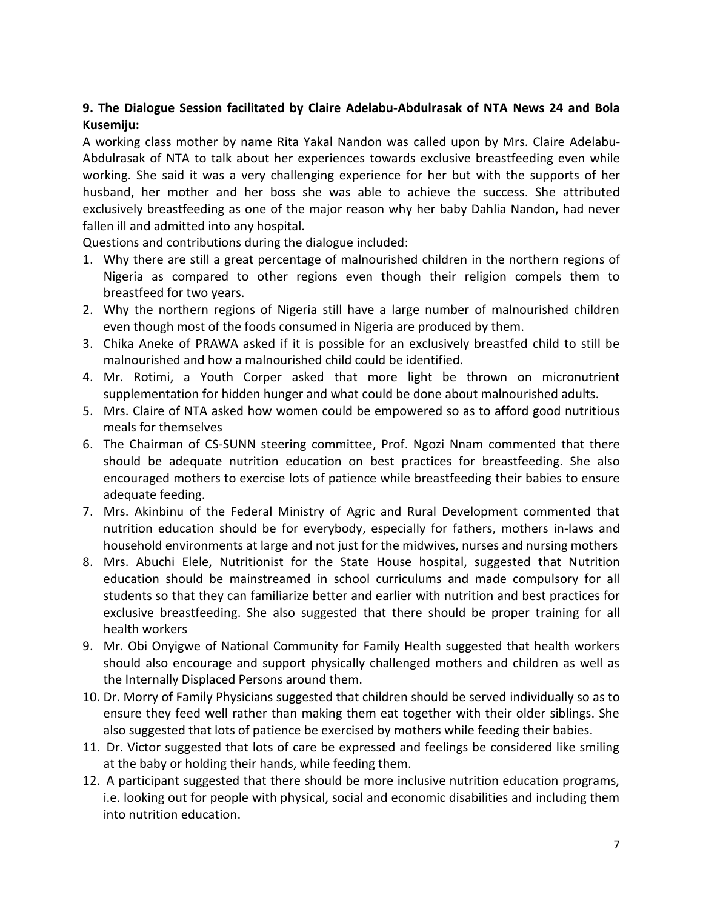## **9. The Dialogue Session facilitated by Claire Adelabu-Abdulrasak of NTA News 24 and Bola Kusemiju:**

A working class mother by name Rita Yakal Nandon was called upon by Mrs. Claire Adelabu-Abdulrasak of NTA to talk about her experiences towards exclusive breastfeeding even while working. She said it was a very challenging experience for her but with the supports of her husband, her mother and her boss she was able to achieve the success. She attributed exclusively breastfeeding as one of the major reason why her baby Dahlia Nandon, had never fallen ill and admitted into any hospital.

Questions and contributions during the dialogue included:

- 1. Why there are still a great percentage of malnourished children in the northern regions of Nigeria as compared to other regions even though their religion compels them to breastfeed for two years.
- 2. Why the northern regions of Nigeria still have a large number of malnourished children even though most of the foods consumed in Nigeria are produced by them.
- 3. Chika Aneke of PRAWA asked if it is possible for an exclusively breastfed child to still be malnourished and how a malnourished child could be identified.
- 4. Mr. Rotimi, a Youth Corper asked that more light be thrown on micronutrient supplementation for hidden hunger and what could be done about malnourished adults.
- 5. Mrs. Claire of NTA asked how women could be empowered so as to afford good nutritious meals for themselves
- 6. The Chairman of CS-SUNN steering committee, Prof. Ngozi Nnam commented that there should be adequate nutrition education on best practices for breastfeeding. She also encouraged mothers to exercise lots of patience while breastfeeding their babies to ensure adequate feeding.
- 7. Mrs. Akinbinu of the Federal Ministry of Agric and Rural Development commented that nutrition education should be for everybody, especially for fathers, mothers in-laws and household environments at large and not just for the midwives, nurses and nursing mothers
- 8. Mrs. Abuchi Elele, Nutritionist for the State House hospital, suggested that Nutrition education should be mainstreamed in school curriculums and made compulsory for all students so that they can familiarize better and earlier with nutrition and best practices for exclusive breastfeeding. She also suggested that there should be proper training for all health workers
- 9. Mr. Obi Onyigwe of National Community for Family Health suggested that health workers should also encourage and support physically challenged mothers and children as well as the Internally Displaced Persons around them.
- 10. Dr. Morry of Family Physicians suggested that children should be served individually so as to ensure they feed well rather than making them eat together with their older siblings. She also suggested that lots of patience be exercised by mothers while feeding their babies.
- 11. Dr. Victor suggested that lots of care be expressed and feelings be considered like smiling at the baby or holding their hands, while feeding them.
- 12. A participant suggested that there should be more inclusive nutrition education programs, i.e. looking out for people with physical, social and economic disabilities and including them into nutrition education.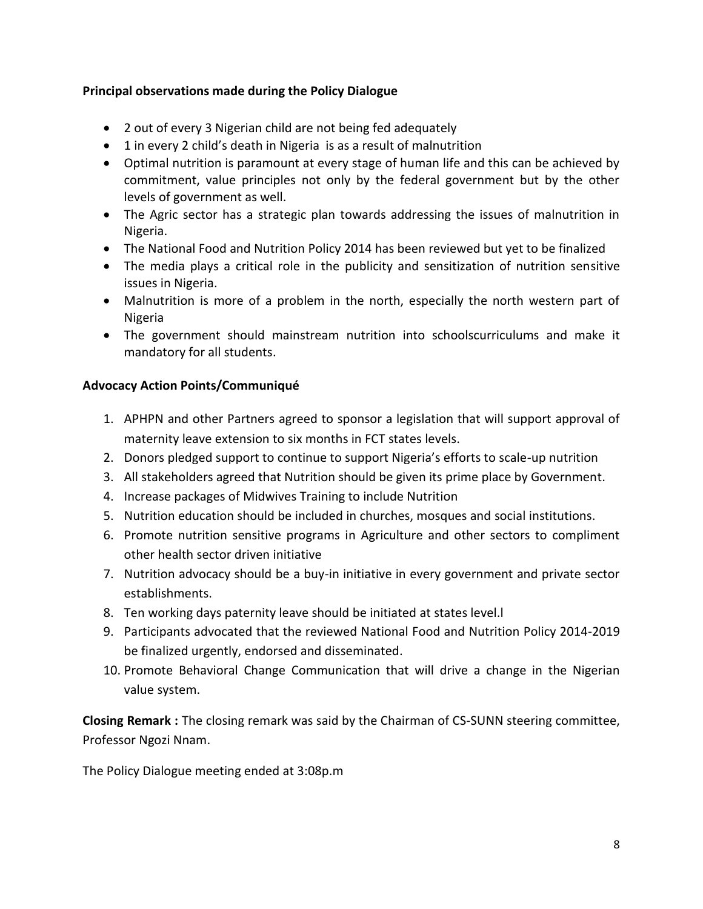## **Principal observations made during the Policy Dialogue**

- 2 out of every 3 Nigerian child are not being fed adequately
- 1 in every 2 child's death in Nigeria is as a result of malnutrition
- Optimal nutrition is paramount at every stage of human life and this can be achieved by commitment, value principles not only by the federal government but by the other levels of government as well.
- The Agric sector has a strategic plan towards addressing the issues of malnutrition in Nigeria.
- The National Food and Nutrition Policy 2014 has been reviewed but yet to be finalized
- The media plays a critical role in the publicity and sensitization of nutrition sensitive issues in Nigeria.
- Malnutrition is more of a problem in the north, especially the north western part of Nigeria
- The government should mainstream nutrition into schoolscurriculums and make it mandatory for all students.

## **Advocacy Action Points/Communiqué**

- 1. APHPN and other Partners agreed to sponsor a legislation that will support approval of maternity leave extension to six months in FCT states levels.
- 2. Donors pledged support to continue to support Nigeria's efforts to scale-up nutrition
- 3. All stakeholders agreed that Nutrition should be given its prime place by Government.
- 4. Increase packages of Midwives Training to include Nutrition
- 5. Nutrition education should be included in churches, mosques and social institutions.
- 6. Promote nutrition sensitive programs in Agriculture and other sectors to compliment other health sector driven initiative
- 7. Nutrition advocacy should be a buy-in initiative in every government and private sector establishments.
- 8. Ten working days paternity leave should be initiated at states level.l
- 9. Participants advocated that the reviewed National Food and Nutrition Policy 2014-2019 be finalized urgently, endorsed and disseminated.
- 10. Promote Behavioral Change Communication that will drive a change in the Nigerian value system.

**Closing Remark :** The closing remark was said by the Chairman of CS-SUNN steering committee, Professor Ngozi Nnam.

The Policy Dialogue meeting ended at 3:08p.m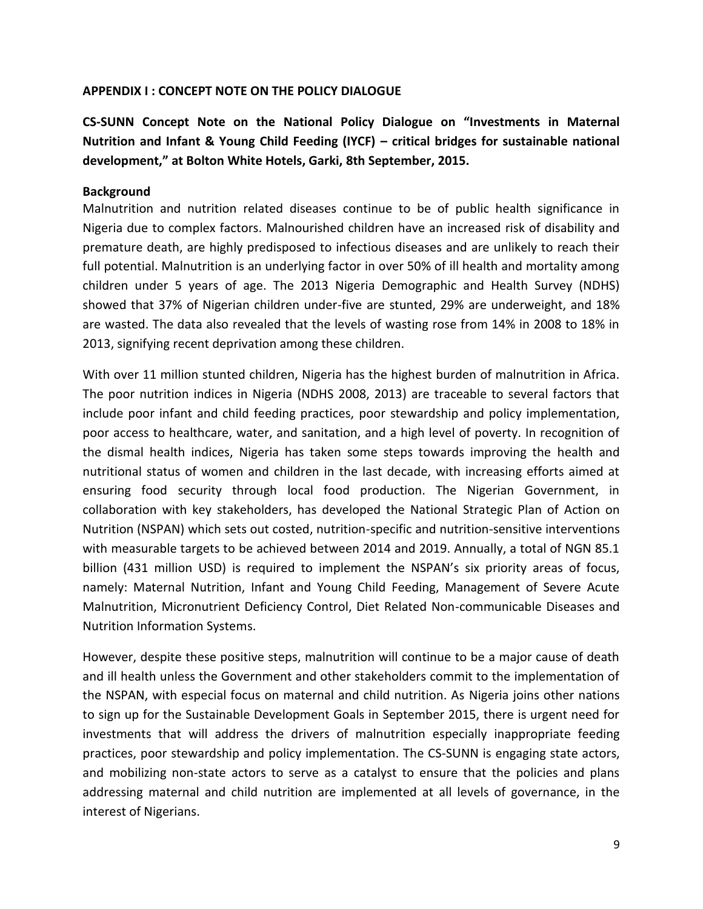#### **APPENDIX I : CONCEPT NOTE ON THE POLICY DIALOGUE**

**CS-SUNN Concept Note on the National Policy Dialogue on "Investments in Maternal Nutrition and Infant & Young Child Feeding (IYCF) – critical bridges for sustainable national development," at Bolton White Hotels, Garki, 8th September, 2015.**

#### **Background**

Malnutrition and nutrition related diseases continue to be of public health significance in Nigeria due to complex factors. Malnourished children have an increased risk of disability and premature death, are highly predisposed to infectious diseases and are unlikely to reach their full potential. Malnutrition is an underlying factor in over 50% of ill health and mortality among children under 5 years of age. The 2013 Nigeria Demographic and Health Survey (NDHS) showed that 37% of Nigerian children under-five are stunted, 29% are underweight, and 18% are wasted. The data also revealed that the levels of wasting rose from 14% in 2008 to 18% in 2013, signifying recent deprivation among these children.

With over 11 million stunted children, Nigeria has the highest burden of malnutrition in Africa. The poor nutrition indices in Nigeria (NDHS 2008, 2013) are traceable to several factors that include poor infant and child feeding practices, poor stewardship and policy implementation, poor access to healthcare, water, and sanitation, and a high level of poverty. In recognition of the dismal health indices, Nigeria has taken some steps towards improving the health and nutritional status of women and children in the last decade, with increasing efforts aimed at ensuring food security through local food production. The Nigerian Government, in collaboration with key stakeholders, has developed the National Strategic Plan of Action on Nutrition (NSPAN) which sets out costed, nutrition-specific and nutrition-sensitive interventions with measurable targets to be achieved between 2014 and 2019. Annually, a total of NGN 85.1 billion (431 million USD) is required to implement the NSPAN's six priority areas of focus, namely: Maternal Nutrition, Infant and Young Child Feeding, Management of Severe Acute Malnutrition, Micronutrient Deficiency Control, Diet Related Non-communicable Diseases and Nutrition Information Systems.

However, despite these positive steps, malnutrition will continue to be a major cause of death and ill health unless the Government and other stakeholders commit to the implementation of the NSPAN, with especial focus on maternal and child nutrition. As Nigeria joins other nations to sign up for the Sustainable Development Goals in September 2015, there is urgent need for investments that will address the drivers of malnutrition especially inappropriate feeding practices, poor stewardship and policy implementation. The CS-SUNN is engaging state actors, and mobilizing non-state actors to serve as a catalyst to ensure that the policies and plans addressing maternal and child nutrition are implemented at all levels of governance, in the interest of Nigerians.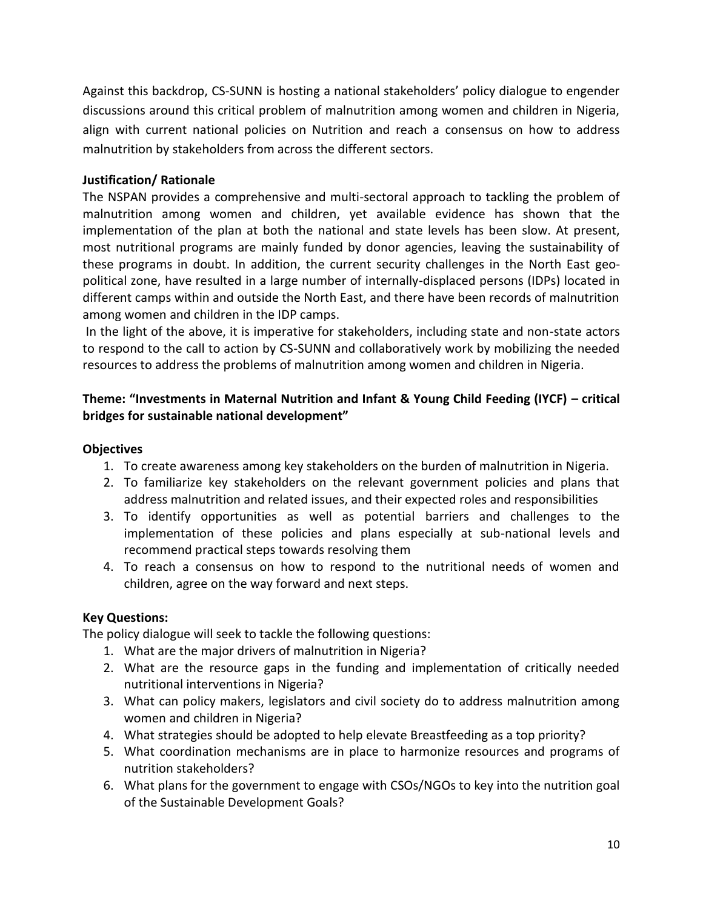Against this backdrop, CS-SUNN is hosting a national stakeholders' policy dialogue to engender discussions around this critical problem of malnutrition among women and children in Nigeria, align with current national policies on Nutrition and reach a consensus on how to address malnutrition by stakeholders from across the different sectors.

#### **Justification/ Rationale**

The NSPAN provides a comprehensive and multi-sectoral approach to tackling the problem of malnutrition among women and children, yet available evidence has shown that the implementation of the plan at both the national and state levels has been slow. At present, most nutritional programs are mainly funded by donor agencies, leaving the sustainability of these programs in doubt. In addition, the current security challenges in the North East geopolitical zone, have resulted in a large number of internally-displaced persons (IDPs) located in different camps within and outside the North East, and there have been records of malnutrition among women and children in the IDP camps.

In the light of the above, it is imperative for stakeholders, including state and non-state actors to respond to the call to action by CS-SUNN and collaboratively work by mobilizing the needed resources to address the problems of malnutrition among women and children in Nigeria.

## **Theme: "Investments in Maternal Nutrition and Infant & Young Child Feeding (IYCF) – critical bridges for sustainable national development"**

#### **Objectives**

- 1. To create awareness among key stakeholders on the burden of malnutrition in Nigeria.
- 2. To familiarize key stakeholders on the relevant government policies and plans that address malnutrition and related issues, and their expected roles and responsibilities
- 3. To identify opportunities as well as potential barriers and challenges to the implementation of these policies and plans especially at sub-national levels and recommend practical steps towards resolving them
- 4. To reach a consensus on how to respond to the nutritional needs of women and children, agree on the way forward and next steps.

## **Key Questions:**

The policy dialogue will seek to tackle the following questions:

- 1. What are the major drivers of malnutrition in Nigeria?
- 2. What are the resource gaps in the funding and implementation of critically needed nutritional interventions in Nigeria?
- 3. What can policy makers, legislators and civil society do to address malnutrition among women and children in Nigeria?
- 4. What strategies should be adopted to help elevate Breastfeeding as a top priority?
- 5. What coordination mechanisms are in place to harmonize resources and programs of nutrition stakeholders?
- 6. What plans for the government to engage with CSOs/NGOs to key into the nutrition goal of the Sustainable Development Goals?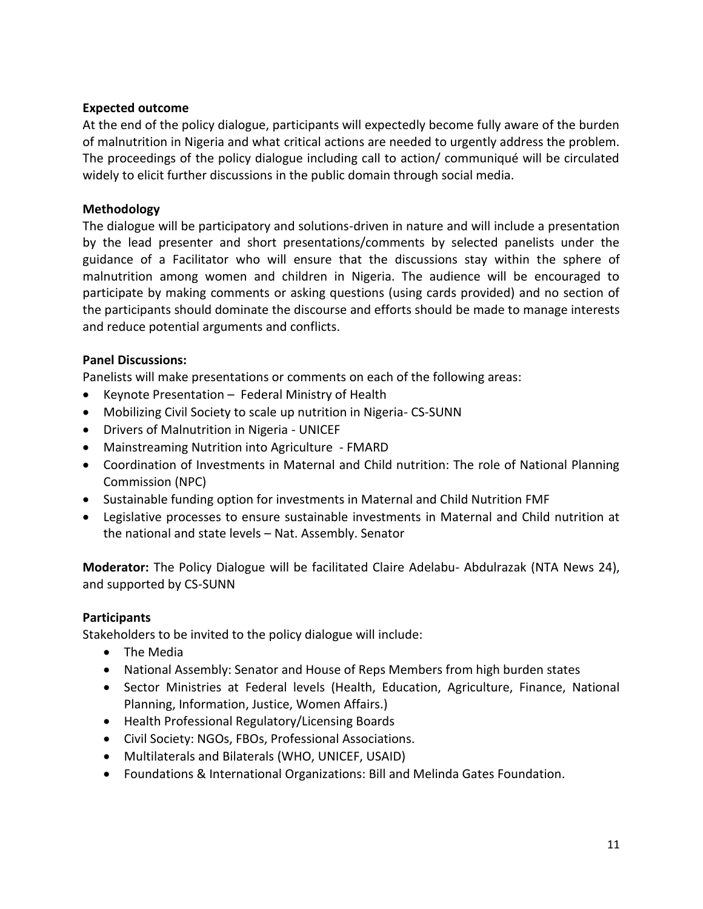#### **Expected outcome**

At the end of the policy dialogue, participants will expectedly become fully aware of the burden of malnutrition in Nigeria and what critical actions are needed to urgently address the problem. The proceedings of the policy dialogue including call to action/ communiqué will be circulated widely to elicit further discussions in the public domain through social media.

#### **Methodology**

The dialogue will be participatory and solutions-driven in nature and will include a presentation by the lead presenter and short presentations/comments by selected panelists under the guidance of a Facilitator who will ensure that the discussions stay within the sphere of malnutrition among women and children in Nigeria. The audience will be encouraged to participate by making comments or asking questions (using cards provided) and no section of the participants should dominate the discourse and efforts should be made to manage interests and reduce potential arguments and conflicts.

#### **Panel Discussions:**

Panelists will make presentations or comments on each of the following areas:

- Keynote Presentation Federal Ministry of Health
- Mobilizing Civil Society to scale up nutrition in Nigeria- CS-SUNN
- Drivers of Malnutrition in Nigeria UNICEF
- Mainstreaming Nutrition into Agriculture FMARD
- Coordination of Investments in Maternal and Child nutrition: The role of National Planning Commission (NPC)
- Sustainable funding option for investments in Maternal and Child Nutrition FMF
- Legislative processes to ensure sustainable investments in Maternal and Child nutrition at the national and state levels – Nat. Assembly. Senator

**Moderator:** The Policy Dialogue will be facilitated Claire Adelabu- Abdulrazak (NTA News 24), and supported by CS-SUNN

## **Participants**

Stakeholders to be invited to the policy dialogue will include:

- The Media
- National Assembly: Senator and House of Reps Members from high burden states
- Sector Ministries at Federal levels (Health, Education, Agriculture, Finance, National Planning, Information, Justice, Women Affairs.)
- Health Professional Regulatory/Licensing Boards
- Civil Society: NGOs, FBOs, Professional Associations.
- Multilaterals and Bilaterals (WHO, UNICEF, USAID)
- Foundations & International Organizations: Bill and Melinda Gates Foundation.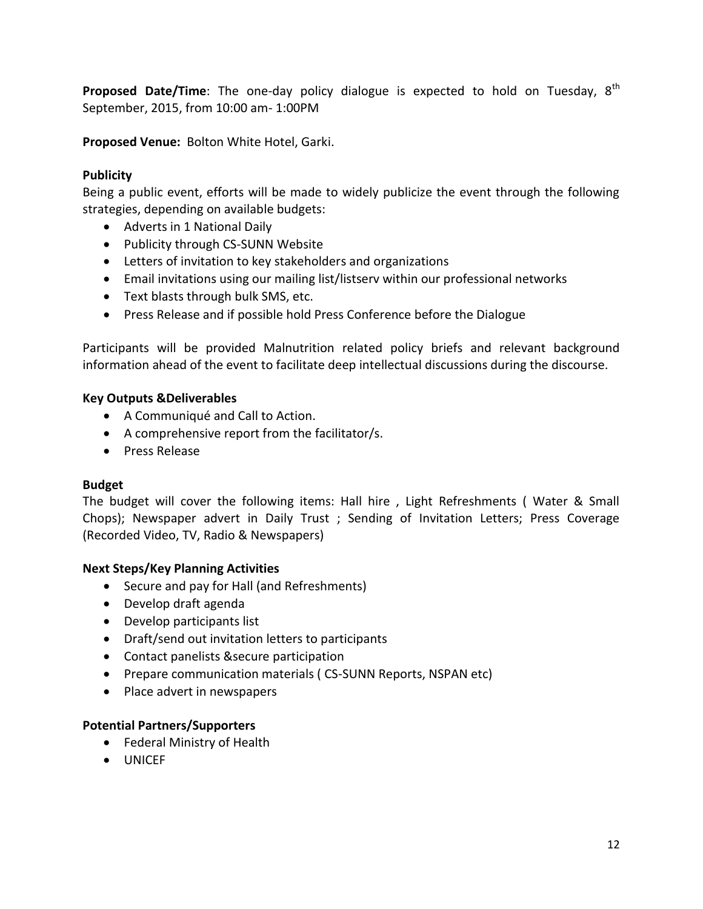**Proposed Date/Time**: The one-day policy dialogue is expected to hold on Tuesday, 8<sup>th</sup> September, 2015, from 10:00 am- 1:00PM

**Proposed Venue:** Bolton White Hotel, Garki.

#### **Publicity**

Being a public event, efforts will be made to widely publicize the event through the following strategies, depending on available budgets:

- Adverts in 1 National Daily
- Publicity through CS-SUNN Website
- Letters of invitation to key stakeholders and organizations
- Email invitations using our mailing list/listserv within our professional networks
- Text blasts through bulk SMS, etc.
- Press Release and if possible hold Press Conference before the Dialogue

Participants will be provided Malnutrition related policy briefs and relevant background information ahead of the event to facilitate deep intellectual discussions during the discourse.

#### **Key Outputs &Deliverables**

- A Communiqué and Call to Action.
- A comprehensive report from the facilitator/s.
- **•** Press Release

## **Budget**

The budget will cover the following items: Hall hire , Light Refreshments ( Water & Small Chops); Newspaper advert in Daily Trust ; Sending of Invitation Letters; Press Coverage (Recorded Video, TV, Radio & Newspapers)

#### **Next Steps/Key Planning Activities**

- Secure and pay for Hall (and Refreshments)
- Develop draft agenda
- Develop participants list
- Draft/send out invitation letters to participants
- Contact panelists &secure participation
- Prepare communication materials (CS-SUNN Reports, NSPAN etc)
- Place advert in newspapers

#### **Potential Partners/Supporters**

- Federal Ministry of Health
- **•** UNICEF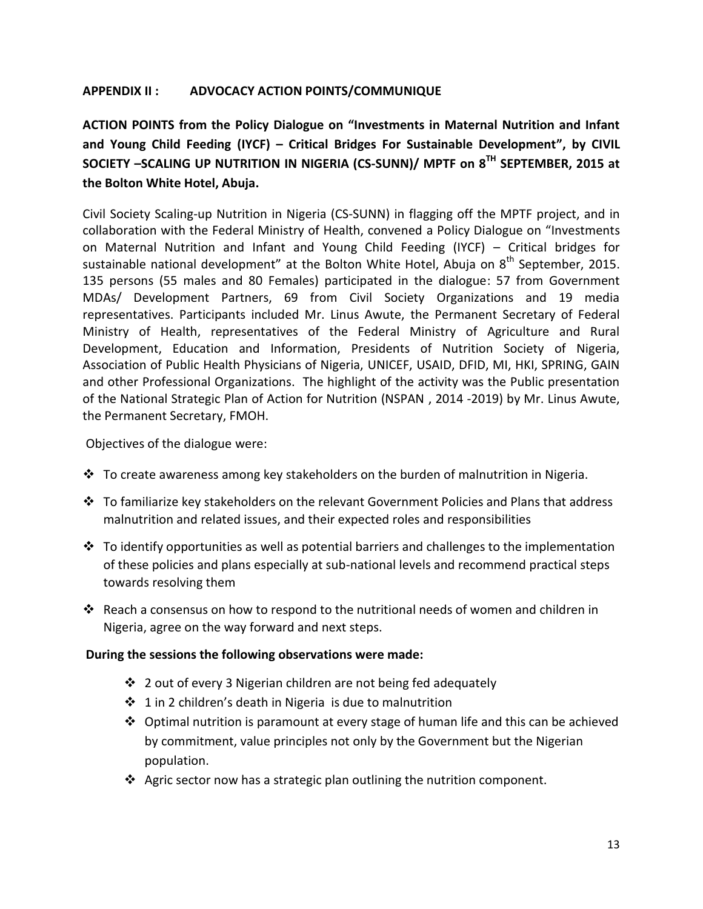#### **APPENDIX II : ADVOCACY ACTION POINTS/COMMUNIQUE**

**ACTION POINTS from the Policy Dialogue on "Investments in Maternal Nutrition and Infant and Young Child Feeding (IYCF) – Critical Bridges For Sustainable Development", by CIVIL SOCIETY –SCALING UP NUTRITION IN NIGERIA (CS-SUNN)/ MPTF on 8 TH SEPTEMBER, 2015 at the Bolton White Hotel, Abuja.**

Civil Society Scaling-up Nutrition in Nigeria (CS-SUNN) in flagging off the MPTF project, and in collaboration with the Federal Ministry of Health, convened a Policy Dialogue on "Investments on Maternal Nutrition and Infant and Young Child Feeding (IYCF) – Critical bridges for sustainable national development" at the Bolton White Hotel, Abuja on  $8<sup>th</sup>$  September, 2015. 135 persons (55 males and 80 Females) participated in the dialogue: 57 from Government MDAs/ Development Partners, 69 from Civil Society Organizations and 19 media representatives. Participants included Mr. Linus Awute, the Permanent Secretary of Federal Ministry of Health, representatives of the Federal Ministry of Agriculture and Rural Development, Education and Information, Presidents of Nutrition Society of Nigeria, Association of Public Health Physicians of Nigeria, UNICEF, USAID, DFID, MI, HKI, SPRING, GAIN and other Professional Organizations. The highlight of the activity was the Public presentation of the National Strategic Plan of Action for Nutrition (NSPAN , 2014 -2019) by Mr. Linus Awute, the Permanent Secretary, FMOH.

Objectives of the dialogue were:

- $\cdot \cdot$  To create awareness among key stakeholders on the burden of malnutrition in Nigeria.
- $\cdot \cdot$  To familiarize key stakeholders on the relevant Government Policies and Plans that address malnutrition and related issues, and their expected roles and responsibilities
- $\cdot \cdot$  To identify opportunities as well as potential barriers and challenges to the implementation of these policies and plans especially at sub-national levels and recommend practical steps towards resolving them
- $\clubsuit$  Reach a consensus on how to respond to the nutritional needs of women and children in Nigeria, agree on the way forward and next steps.

#### **During the sessions the following observations were made:**

- $\div$  2 out of every 3 Nigerian children are not being fed adequately
- $\div$  1 in 2 children's death in Nigeria is due to malnutrition
- $\clubsuit$  Optimal nutrition is paramount at every stage of human life and this can be achieved by commitment, value principles not only by the Government but the Nigerian population.
- $\clubsuit$  Agric sector now has a strategic plan outlining the nutrition component.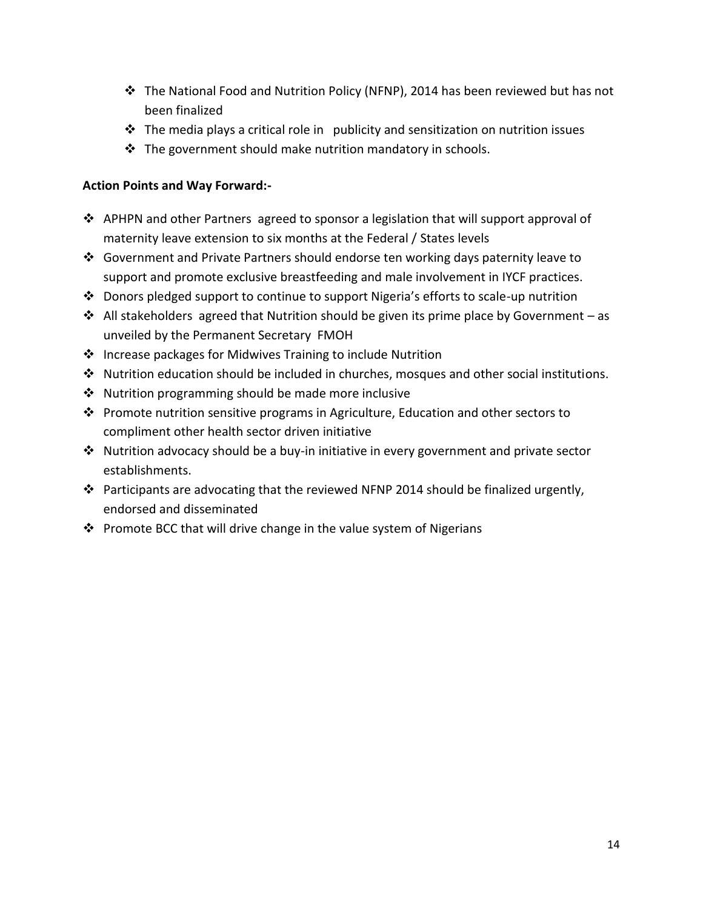- $\cdot \cdot$  The National Food and Nutrition Policy (NFNP), 2014 has been reviewed but has not been finalized
- $\clubsuit$  The media plays a critical role in publicity and sensitization on nutrition issues
- $\cdot \cdot$  The government should make nutrition mandatory in schools.

## **Action Points and Way Forward:-**

- APHPN and other Partners agreed to sponsor a legislation that will support approval of maternity leave extension to six months at the Federal / States levels
- Government and Private Partners should endorse ten working days paternity leave to support and promote exclusive breastfeeding and male involvement in IYCF practices.
- Donors pledged support to continue to support Nigeria's efforts to scale-up nutrition
- $\cdot$  All stakeholders agreed that Nutrition should be given its prime place by Government as unveiled by the Permanent Secretary FMOH
- $\cdot$  Increase packages for Midwives Training to include Nutrition
- $\cdot \cdot$  Nutrition education should be included in churches, mosques and other social institutions.
- $\cdot$  Nutrition programming should be made more inclusive
- Promote nutrition sensitive programs in Agriculture, Education and other sectors to compliment other health sector driven initiative
- Nutrition advocacy should be a buy-in initiative in every government and private sector establishments.
- Participants are advocating that the reviewed NFNP 2014 should be finalized urgently, endorsed and disseminated
- ❖ Promote BCC that will drive change in the value system of Nigerians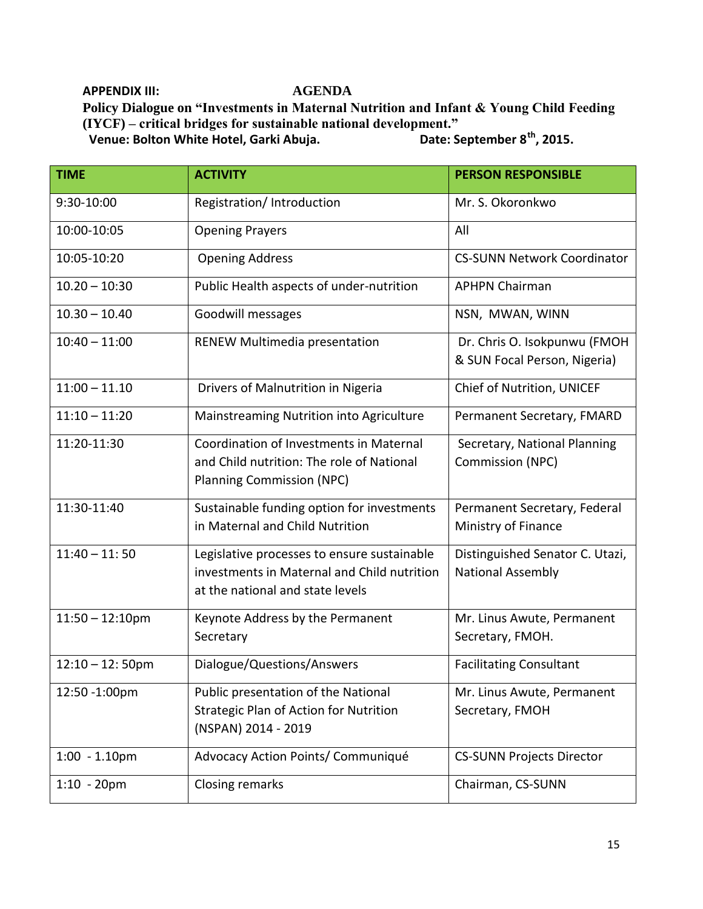**APPENDIX III: AGENDA**

**Policy Dialogue on "Investments in Maternal Nutrition and Infant & Young Child Feeding (IYCF) – critical bridges for sustainable national development."**

 **Venue: Bolton White Hotel, Garki Abuja.** 

| <b>TIME</b>        | <b>ACTIVITY</b>                                                                                                                | <b>PERSON RESPONSIBLE</b>                                    |
|--------------------|--------------------------------------------------------------------------------------------------------------------------------|--------------------------------------------------------------|
| 9:30-10:00         | Registration/Introduction                                                                                                      | Mr. S. Okoronkwo                                             |
| 10:00-10:05        | <b>Opening Prayers</b>                                                                                                         | All                                                          |
| 10:05-10:20        | <b>Opening Address</b>                                                                                                         | <b>CS-SUNN Network Coordinator</b>                           |
| $10.20 - 10:30$    | Public Health aspects of under-nutrition                                                                                       | <b>APHPN Chairman</b>                                        |
| $10.30 - 10.40$    | Goodwill messages                                                                                                              | NSN, MWAN, WINN                                              |
| $10:40 - 11:00$    | RENEW Multimedia presentation                                                                                                  | Dr. Chris O. Isokpunwu (FMOH<br>& SUN Focal Person, Nigeria) |
| $11:00 - 11.10$    | Drivers of Malnutrition in Nigeria                                                                                             | Chief of Nutrition, UNICEF                                   |
| $11:10 - 11:20$    | Mainstreaming Nutrition into Agriculture                                                                                       | Permanent Secretary, FMARD                                   |
| 11:20-11:30        | Coordination of Investments in Maternal<br>and Child nutrition: The role of National<br><b>Planning Commission (NPC)</b>       | Secretary, National Planning<br><b>Commission (NPC)</b>      |
| 11:30-11:40        | Sustainable funding option for investments<br>in Maternal and Child Nutrition                                                  | Permanent Secretary, Federal<br>Ministry of Finance          |
| $11:40 - 11:50$    | Legislative processes to ensure sustainable<br>investments in Maternal and Child nutrition<br>at the national and state levels | Distinguished Senator C. Utazi,<br><b>National Assembly</b>  |
| $11:50 - 12:10$ pm | Keynote Address by the Permanent<br>Secretary                                                                                  | Mr. Linus Awute, Permanent<br>Secretary, FMOH.               |
| $12:10 - 12:50$ pm | Dialogue/Questions/Answers                                                                                                     | <b>Facilitating Consultant</b>                               |
| 12:50 -1:00pm      | Public presentation of the National<br>Strategic Plan of Action for Nutrition<br>(NSPAN) 2014 - 2019                           | Mr. Linus Awute, Permanent<br>Secretary, FMOH                |
| $1:00 - 1.10$ pm   | Advocacy Action Points/ Communiqué                                                                                             | <b>CS-SUNN Projects Director</b>                             |
| $1:10 - 20$ pm     | Closing remarks                                                                                                                | Chairman, CS-SUNN                                            |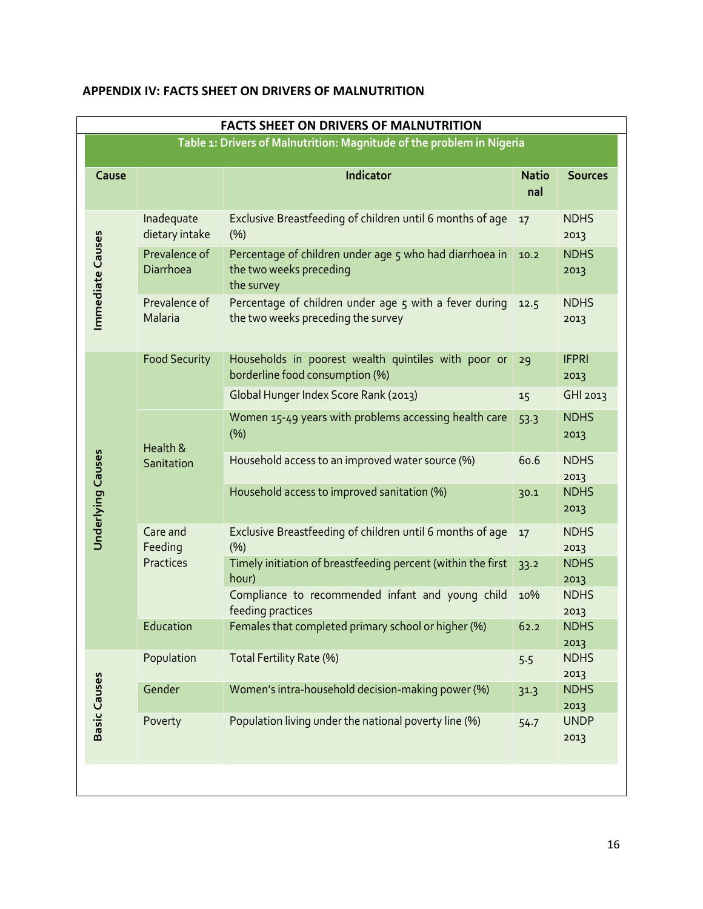| <b>FACTS SHEET ON DRIVERS OF MALNUTRITION</b>                         |                              |                                                                                                  |                     |                      |
|-----------------------------------------------------------------------|------------------------------|--------------------------------------------------------------------------------------------------|---------------------|----------------------|
| Table 1: Drivers of Malnutrition: Magnitude of the problem in Nigeria |                              |                                                                                                  |                     |                      |
| Cause                                                                 |                              | Indicator                                                                                        | <b>Natio</b><br>nal | <b>Sources</b>       |
| Immediate Causes                                                      | Inadequate<br>dietary intake | Exclusive Breastfeeding of children until 6 months of age<br>(%)                                 | 17                  | <b>NDHS</b><br>2013  |
|                                                                       | Prevalence of<br>Diarrhoea   | Percentage of children under age 5 who had diarrhoea in<br>the two weeks preceding<br>the survey | 10.2                | <b>NDHS</b><br>2013  |
|                                                                       | Prevalence of<br>Malaria     | Percentage of children under age 5 with a fever during<br>the two weeks preceding the survey     | 12.5                | <b>NDHS</b><br>2013  |
|                                                                       | <b>Food Security</b>         | Households in poorest wealth quintiles with poor or<br>borderline food consumption (%)           | 29                  | <b>IFPRI</b><br>2013 |
|                                                                       |                              | Global Hunger Index Score Rank (2013)                                                            | 15                  | GHI 2013             |
|                                                                       | Health &<br>Sanitation       | Women 15-49 years with problems accessing health care<br>(%)                                     | 53.3                | <b>NDHS</b><br>2013  |
|                                                                       |                              | Household access to an improved water source (%)                                                 | 60.6                | <b>NDHS</b><br>2013  |
| <b>Underlying Causes</b>                                              |                              | Household access to improved sanitation (%)                                                      | 30.1                | <b>NDHS</b><br>2013  |
|                                                                       | Care and<br>Feeding          | Exclusive Breastfeeding of children until 6 months of age<br>(%)                                 | 17                  | <b>NDHS</b><br>2013  |
|                                                                       | Practices                    | Timely initiation of breastfeeding percent (within the first<br>hour)                            | 33.2                | <b>NDHS</b><br>2013  |
|                                                                       |                              | Compliance to recommended infant and young child<br>feeding practices                            | 10%                 | <b>NDHS</b><br>2013  |
|                                                                       | Education                    | Females that completed primary school or higher (%)                                              | 62.2                | <b>NDHS</b><br>2013  |
|                                                                       | Population                   | Total Fertility Rate (%)                                                                         | 5.5                 | <b>NDHS</b><br>2013  |
| <b>Basic Causes</b>                                                   | Gender                       | Women's intra-household decision-making power (%)                                                | 31.3                | <b>NDHS</b><br>2013  |
|                                                                       | Poverty                      | Population living under the national poverty line (%)                                            | 54.7                | <b>UNDP</b><br>2013  |
|                                                                       |                              |                                                                                                  |                     |                      |

# **APPENDIX IV: FACTS SHEET ON DRIVERS OF MALNUTRITION**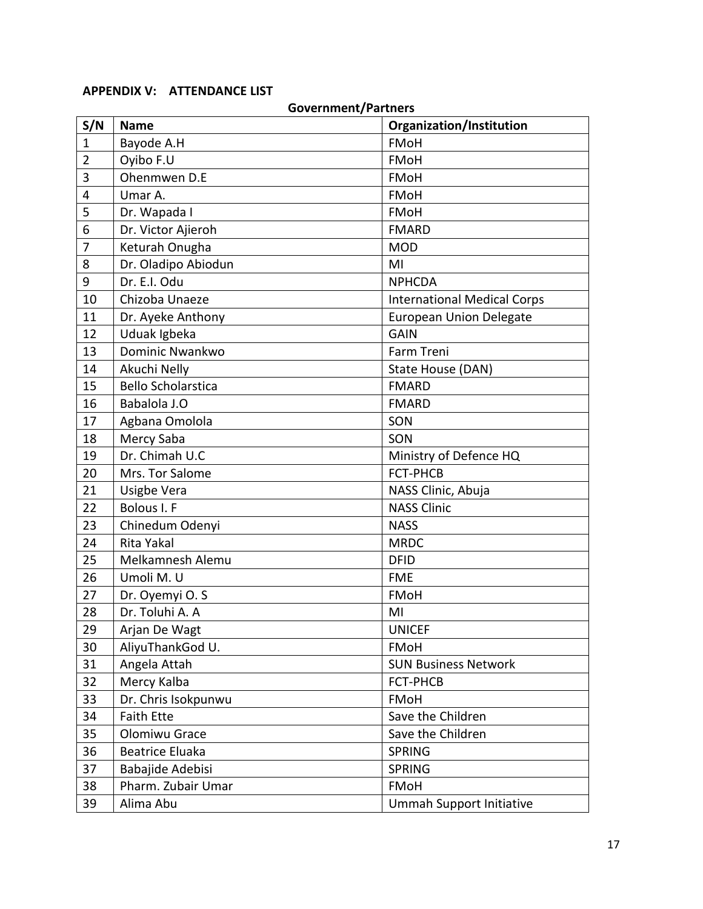#### **APPENDIX V: ATTENDANCE LIST**

## **Government/Partners S/N** | Name **Organization/Institution** 1 Bayode A.H FMoH 2 | Oyibo F.U | FMoH 3 Ohenmwen D.E FMoH 4 Umar A. FMoH 5 Dr. Wapada I FMoH 6 Dr. Victor Ajieroh FMARD 7 Keturah Onugha MOD 8 Dr. Oladipo Abiodun MI 9 Dr. E.I. Odu NPHCDA 10 | Chizoba Unaeze **International Medical Corps** 11 | Dr. Ayeke Anthony **European Union Delegate** 12 Uduak Igbeka GAIN 13 | Dominic Nwankwo **Farm Treni** 14 | Akuchi Nelly **State House (DAN)** 15 Bello Scholarstica **FMARD** 16 Babalola J.O FMARD 17 Agbana Omolola SON 18 Mercy Saba SON 19 Dr. Chimah U.C Ministry of Defence HQ 20 | Mrs. Tor Salome | FCT-PHCB 21 | Usigbe Vera NASS Clinic, Abuja 22 Bolous I. F NASS Clinic 23 Chinedum Odenyi NASS 24 Rita Yakal MRDC 25 | Melkamnesh Alemu | DFID 26 Umoli M. U FME 27 Dr. Oyemyi O. S FMoH 28 Dr. Toluhi A. A MI 29 Arjan De Wagt November 2014 30 AliyuThankGod U. Research Research Research 1980 31 | Angela Attah SUN Business Network 32 | Mercy Kalba | FCT-PHCB 33 Dr. Chris Isokpunwu FMoH 34 | Faith Ette Save the Children 35 Olomiwu Grace Save the Children 36 | Beatrice Eluaka | SPRING 37 Babajide Adebisi SPRING 38 Pharm. Zubair Umar FMoH 39 Alima Abu Ummah Support Initiative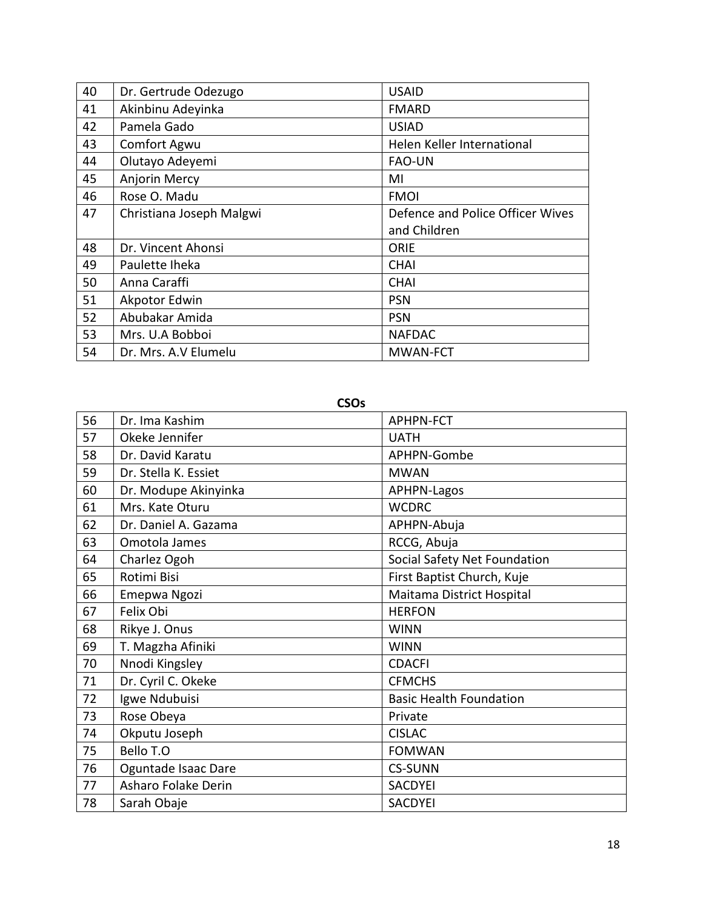| 40 | Dr. Gertrude Odezugo     | <b>USAID</b>                     |
|----|--------------------------|----------------------------------|
| 41 | Akinbinu Adeyinka        | <b>FMARD</b>                     |
| 42 | Pamela Gado              | <b>USIAD</b>                     |
| 43 | Comfort Agwu             | Helen Keller International       |
| 44 | Olutayo Adeyemi          | <b>FAO-UN</b>                    |
| 45 | Anjorin Mercy            | MI                               |
| 46 | Rose O. Madu             | <b>FMOI</b>                      |
| 47 | Christiana Joseph Malgwi | Defence and Police Officer Wives |
|    |                          | and Children                     |
| 48 | Dr. Vincent Ahonsi       | ORIE                             |
| 49 | Paulette Iheka           | <b>CHAI</b>                      |
| 50 | Anna Caraffi             | <b>CHAI</b>                      |
| 51 | Akpotor Edwin            | <b>PSN</b>                       |
| 52 | Abubakar Amida           | <b>PSN</b>                       |
| 53 | Mrs. U.A Bobboi          | <b>NAFDAC</b>                    |
| 54 | Dr. Mrs. A.V Elumelu     | <b>MWAN-FCT</b>                  |

**CSOs**

| 56 | Dr. Ima Kashim       | <b>APHPN-FCT</b>               |
|----|----------------------|--------------------------------|
| 57 | Okeke Jennifer       | <b>UATH</b>                    |
| 58 | Dr. David Karatu     | APHPN-Gombe                    |
| 59 | Dr. Stella K. Essiet | <b>MWAN</b>                    |
| 60 | Dr. Modupe Akinyinka | <b>APHPN-Lagos</b>             |
| 61 | Mrs. Kate Oturu      | <b>WCDRC</b>                   |
| 62 | Dr. Daniel A. Gazama | APHPN-Abuja                    |
| 63 | Omotola James        | RCCG, Abuja                    |
| 64 | Charlez Ogoh         | Social Safety Net Foundation   |
| 65 | Rotimi Bisi          | First Baptist Church, Kuje     |
| 66 | Emepwa Ngozi         | Maitama District Hospital      |
| 67 | Felix Obi            | <b>HERFON</b>                  |
| 68 | Rikye J. Onus        | <b>WINN</b>                    |
| 69 | T. Magzha Afiniki    | <b>WINN</b>                    |
| 70 | Nnodi Kingsley       | <b>CDACFI</b>                  |
| 71 | Dr. Cyril C. Okeke   | <b>CFMCHS</b>                  |
| 72 | Igwe Ndubuisi        | <b>Basic Health Foundation</b> |
| 73 | Rose Obeya           | Private                        |
| 74 | Okputu Joseph        | <b>CISLAC</b>                  |
| 75 | Bello T.O            | <b>FOMWAN</b>                  |
| 76 | Oguntade Isaac Dare  | <b>CS-SUNN</b>                 |
| 77 | Asharo Folake Derin  | <b>SACDYEI</b>                 |
| 78 | Sarah Obaje          | <b>SACDYEI</b>                 |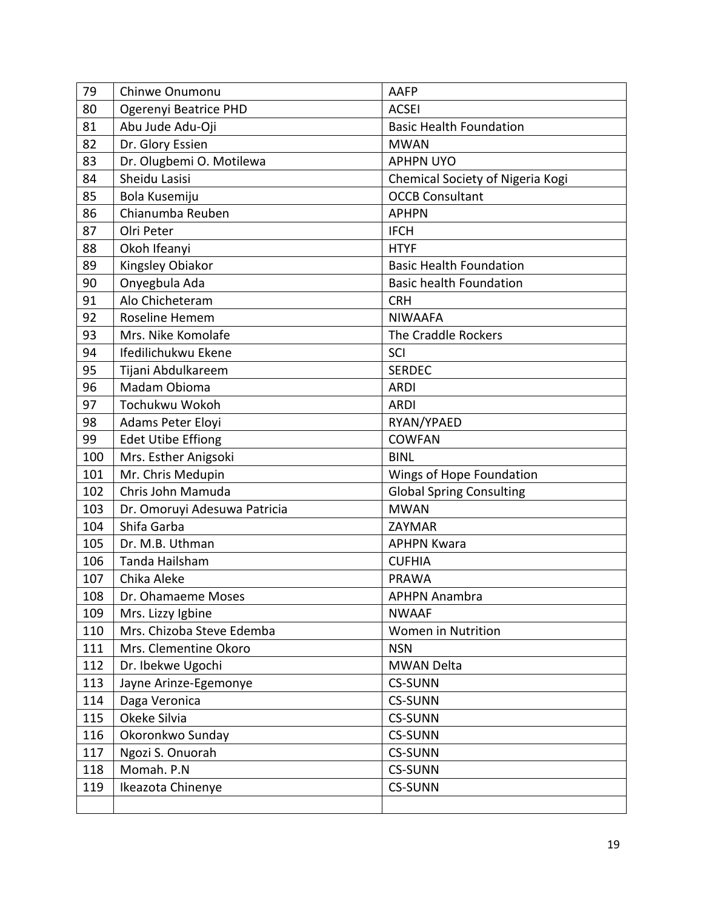| 79  | Chinwe Onumonu               | <b>AAFP</b>                      |
|-----|------------------------------|----------------------------------|
| 80  | Ogerenyi Beatrice PHD        | <b>ACSEI</b>                     |
| 81  | Abu Jude Adu-Oji             | <b>Basic Health Foundation</b>   |
| 82  | Dr. Glory Essien             | <b>MWAN</b>                      |
| 83  | Dr. Olugbemi O. Motilewa     | <b>APHPN UYO</b>                 |
| 84  | Sheidu Lasisi                | Chemical Society of Nigeria Kogi |
| 85  | Bola Kusemiju                | <b>OCCB Consultant</b>           |
| 86  | Chianumba Reuben             | <b>APHPN</b>                     |
| 87  | Olri Peter                   | <b>IFCH</b>                      |
| 88  | Okoh Ifeanyi                 | <b>HTYF</b>                      |
| 89  | Kingsley Obiakor             | <b>Basic Health Foundation</b>   |
| 90  | Onyegbula Ada                | <b>Basic health Foundation</b>   |
| 91  | Alo Chicheteram              | <b>CRH</b>                       |
| 92  | Roseline Hemem               | <b>NIWAAFA</b>                   |
| 93  | Mrs. Nike Komolafe           | The Craddle Rockers              |
| 94  | Ifedilichukwu Ekene          | SCI                              |
| 95  | Tijani Abdulkareem           | <b>SERDEC</b>                    |
| 96  | Madam Obioma                 | <b>ARDI</b>                      |
| 97  | Tochukwu Wokoh               | <b>ARDI</b>                      |
| 98  | Adams Peter Eloyi            | RYAN/YPAED                       |
| 99  | <b>Edet Utibe Effiong</b>    | <b>COWFAN</b>                    |
| 100 | Mrs. Esther Anigsoki         | <b>BINL</b>                      |
| 101 | Mr. Chris Medupin            | Wings of Hope Foundation         |
| 102 | Chris John Mamuda            | <b>Global Spring Consulting</b>  |
| 103 | Dr. Omoruyi Adesuwa Patricia | <b>MWAN</b>                      |
| 104 | Shifa Garba                  | ZAYMAR                           |
| 105 | Dr. M.B. Uthman              | <b>APHPN Kwara</b>               |
| 106 | Tanda Hailsham               | <b>CUFHIA</b>                    |
| 107 | Chika Aleke                  | <b>PRAWA</b>                     |
| 108 | Dr. Ohamaeme Moses           | <b>APHPN Anambra</b>             |
| 109 | Mrs. Lizzy Igbine            | <b>NWAAF</b>                     |
| 110 | Mrs. Chizoba Steve Edemba    | Women in Nutrition               |
| 111 | Mrs. Clementine Okoro        | <b>NSN</b>                       |
| 112 | Dr. Ibekwe Ugochi            | <b>MWAN Delta</b>                |
| 113 | Jayne Arinze-Egemonye        | <b>CS-SUNN</b>                   |
| 114 | Daga Veronica                | <b>CS-SUNN</b>                   |
| 115 | Okeke Silvia                 | <b>CS-SUNN</b>                   |
| 116 | Okoronkwo Sunday             | <b>CS-SUNN</b>                   |
| 117 | Ngozi S. Onuorah             | <b>CS-SUNN</b>                   |
| 118 | Momah. P.N                   | <b>CS-SUNN</b>                   |
| 119 | Ikeazota Chinenye            | <b>CS-SUNN</b>                   |
|     |                              |                                  |